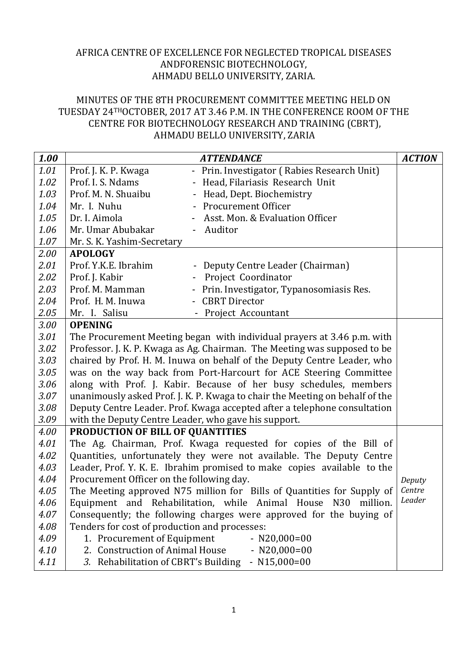## AFRICA CENTRE OF EXCELLENCE FOR NEGLECTED TROPICAL DISEASES ANDFORENSIC BIOTECHNOLOGY, AHMADU BELLO UNIVERSITY, ZARIA.

## MINUTES OF THE 8TH PROCUREMENT COMMITTEE MEETING HELD ON TUESDAY 24THOCTOBER, 2017 AT 3.46 P.M. IN THE CONFERENCE ROOM OF THE CENTRE FOR BIOTECHNOLOGY RESEARCH AND TRAINING (CBRT), AHMADU BELLO UNIVERSITY, ZARIA

| 1.00 |                                                      | <b>ATTENDANCE</b>                                                            | <b>ACTION</b> |
|------|------------------------------------------------------|------------------------------------------------------------------------------|---------------|
| 1.01 | Prof. J. K. P. Kwaga                                 | - Prin. Investigator (Rabies Research Unit)                                  |               |
| 1.02 | Prof. I. S. Ndams                                    | Head, Filariasis Research Unit                                               |               |
| 1.03 | Prof. M. N. Shuaibu                                  | Head, Dept. Biochemistry                                                     |               |
| 1.04 | Mr. I. Nuhu                                          | <b>Procurement Officer</b>                                                   |               |
| 1.05 | Dr. I. Aimola                                        | Asst. Mon. & Evaluation Officer                                              |               |
| 1.06 | Mr. Umar Abubakar                                    | - Auditor                                                                    |               |
| 1.07 | Mr. S. K. Yashim-Secretary                           |                                                                              |               |
| 2.00 | <b>APOLOGY</b>                                       |                                                                              |               |
| 2.01 | Prof. Y.K.E. Ibrahim                                 | Deputy Centre Leader (Chairman)                                              |               |
| 2.02 | Prof. J. Kabir                                       | Project Coordinator                                                          |               |
| 2.03 | Prof. M. Mamman                                      | Prin. Investigator, Typanosomiasis Res.                                      |               |
| 2.04 | Prof. H. M. Inuwa                                    | <b>CBRT</b> Director                                                         |               |
| 2.05 | Mr. I. Salisu                                        | Project Accountant                                                           |               |
| 3.00 | <b>OPENING</b>                                       |                                                                              |               |
| 3.01 |                                                      | The Procurement Meeting began with individual prayers at 3.46 p.m. with      |               |
| 3.02 |                                                      | Professor. J. K. P. Kwaga as Ag. Chairman. The Meeting was supposed to be    |               |
| 3.03 |                                                      | chaired by Prof. H. M. Inuwa on behalf of the Deputy Centre Leader, who      |               |
| 3.05 |                                                      | was on the way back from Port-Harcourt for ACE Steering Committee            |               |
| 3.06 |                                                      | along with Prof. J. Kabir. Because of her busy schedules, members            |               |
| 3.07 |                                                      | unanimously asked Prof. J. K. P. Kwaga to chair the Meeting on behalf of the |               |
| 3.08 |                                                      | Deputy Centre Leader. Prof. Kwaga accepted after a telephone consultation    |               |
| 3.09 | with the Deputy Centre Leader, who gave his support. |                                                                              |               |
| 4.00 | PRODUCTION OF BILL OF QUANTITIES                     |                                                                              |               |
| 4.01 |                                                      | The Ag. Chairman, Prof. Kwaga requested for copies of the Bill of            |               |
| 4.02 |                                                      | Quantities, unfortunately they were not available. The Deputy Centre         |               |
| 4.03 |                                                      | Leader, Prof. Y. K. E. Ibrahim promised to make copies available to the      |               |
| 4.04 | Procurement Officer on the following day.            |                                                                              | Deputy        |
| 4.05 |                                                      | The Meeting approved N75 million for Bills of Quantities for Supply of       | Centre        |
| 4.06 |                                                      | Equipment and Rehabilitation, while Animal House N30 million.                | Leader        |
| 4.07 |                                                      | Consequently; the following charges were approved for the buying of          |               |
| 4.08 | Tenders for cost of production and processes:        |                                                                              |               |
| 4.09 | 1. Procurement of Equipment                          | $- N20,000=00$                                                               |               |
| 4.10 | 2. Construction of Animal House                      | $- N20,000=00$                                                               |               |
| 4.11 |                                                      | 3. Rehabilitation of CBRT's Building - N15,000=00                            |               |